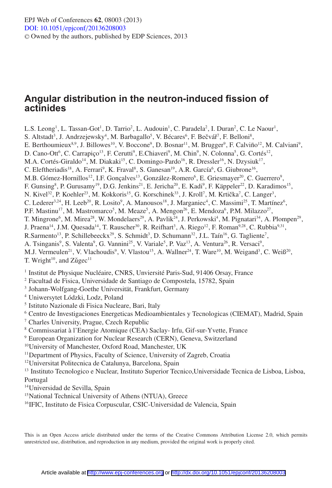# **Angular distribution in the neutron-induced fission of actinides**

L.S. Leong<sup>1</sup>, L. Tassan-Got<sup>1</sup>, D. Tarrio<sup>2</sup>, L. Audouin<sup>1</sup>, C. Paradela<sup>2</sup>, I. Duran<sup>2</sup>, C. Le Naour<sup>1</sup>, S. Altstadt<sup>3</sup>, J. Andrzejewsky<sup>4</sup>, M. Barbagallo<sup>5</sup>, V. Bécares<sup>6</sup>, F. Bečvář<sup>7</sup>, F. Belloni<sup>8</sup>, E. Berthoumieux<sup>8,9</sup>, J. Billowes<sup>10</sup>, V. Boccone<sup>9</sup>, D. Bosnar<sup>11</sup>, M. Brugger<sup>9</sup>, F. Calviño<sup>12</sup>, M. Calviani<sup>9</sup>, D. Cano-Ott<sup>6</sup>, C. Carrapiço<sup>13</sup>, F. Cerutti<sup>9</sup>, E.Chiaveri<sup>9</sup>, M. Chin<sup>9</sup>, N. Colonna<sup>5</sup>, G. Cortés<sup>12</sup>, M.A. Cortés-Giraldo<sup>14</sup>, M. Diakaki<sup>15</sup>, C. Domingo-Pardo<sup>16</sup>, R. Dressler<sup>16</sup>, N. Dzysiuk<sup>17</sup>, C. Eleftheriadis<sup>18</sup>, A. Ferrari<sup>9</sup>, K. Fraval<sup>8</sup>, S. Ganesan<sup>19</sup>, A.R. García<sup>6</sup>, G. Giubrone<sup>16</sup>, M.B. Gómez-Hornillos<sup>12</sup>, I.F. Gonçalves<sup>13</sup>, González-Romero<sup>6</sup>, E. Griesmayer<sup>20</sup>, C. Guerrero<sup>9</sup>, F. Gunsing<sup>8</sup>, P. Gurusamy<sup>19</sup>, D.G. Jenkins<sup>21</sup>, E. Jericha<sup>20</sup>, E. Kadi<sup>9</sup>, F. Käppeler<sup>22</sup>, D. Karadimos<sup>15</sup>, N. Kivel<sup>32</sup>, P. Koehler<sup>23</sup>, M. Kokkoris<sup>15</sup>, G. Korschinek<sup>33</sup>, J. Kroll<sup>7</sup>, M. Krtička<sup>7</sup>, C. Langer<sup>3</sup>, C. Lederer<sup>3,24</sup>, H. Leeb<sup>20</sup>, R. Losito<sup>9</sup>, A. Manousos<sup>18</sup>, J. Marganiec<sup>4</sup>, C. Massimi<sup>25</sup>, T. Martínez<sup>6</sup>, P.F. Mastinu<sup>17</sup>, M. Mastromarco<sup>5</sup>, M. Meaze<sup>5</sup>, A. Mengon<sup>26</sup>, E. Mendoza<sup>6</sup>, P.M. Milazzo<sup>27</sup>, T. Mingrone<sup>6</sup>, M. Mirea<sup>28</sup>, W. Mondelaers<sup>29</sup>, A. Pavlik<sup>24</sup>, J. Perkowski<sup>4</sup>, M. Pignatari<sup>34</sup>, A. Plompen<sup>29</sup>, J. Praena<sup>14</sup>, J.M. Quesada<sup>14</sup>, T. Rauscher<sup>30</sup>, R. Reifhart<sup>3</sup>, A. Riego<sup>12</sup>, F. Roman<sup>9,28</sup>, C. Rubbia<sup>9,31</sup>, R.Sarmento<sup>13</sup>, P. Schillebeeckx<sup>29</sup>, S. Schmidt<sup>3</sup>, D. Schumann<sup>32</sup>, J.L. Taín<sup>16</sup>, G. Tagliente<sup>7</sup>, A. Tsinganis<sup>9</sup>, S. Valenta<sup>9</sup>, G. Vannini<sup>25</sup>, V. Variale<sup>5</sup>, P. Vaz<sup>13</sup>, A. Ventura<sup>26</sup>, R. Versaci<sup>9</sup>, M.J. Vermeulen<sup>21</sup>, V. Vlachoudis<sup>9</sup>, V. Vlastou<sup>15</sup>, A. Wallner<sup>24</sup>, T. Ware<sup>10</sup>, M. Weigand<sup>3</sup>, C. Weiß<sup>20</sup>, T. Wright<sup>10</sup>, and  $Z\text{u}$ gec<sup>11</sup>

<sup>1</sup> Institut de Physique Nucléaire, CNRS, Unviersité Paris-Sud, 91406 Orsay, France

<sup>2</sup> Facultad de Fisica, Universidade de Santiago de Compostela, 15782, Spain

<sup>3</sup> Johann-Wolfgang-Goethe Universität, Frankfurt, Germany

<sup>4</sup> Uniwersytet Lódzki, Lodz, Poland

<sup>5</sup> Istituto Nazionale di Fisica Nucleare, Bari, Italy

<sup>6</sup> Centro de Investigaciones Energeticas Medioambientales y Tecnologicas (CIEMAT), Madrid, Spain

<sup>7</sup> Charles University, Prague, Czech Republic

<sup>8</sup> Commissariat à l'Energie Atomique (CEA) Saclay- Irfu, Gif-sur-Yvette, France

<sup>9</sup> European Organization for Nuclear Research (CERN), Geneva, Switzerland

10University of Manchester, Oxford Road, Manchester, UK

<sup>11</sup>Department of Physics, Faculty of Science, University of Zagreb, Croatia

12Universitat Politecnica de Catalunya, Barcelona, Spain

<sup>13</sup> Instituto Tecnologico e Nuclear, Instituto Superior Tecnico,Universidade Tecnica de Lisboa, Lisboa, Portugal

14Universidad de Sevilla, Spain

<sup>15</sup>National Technical University of Athens (NTUA), Greece

<sup>16</sup>IFIC, Instituto de Fisica Corpuscular, CSIC-Universidad de Valencia, Spain

This is an Open Access article distributed under the terms of the Creative Commons Attribution License 2.0, which permits unrestricted use, distribution, and reproduction in any medium, provided the original work is properly cited.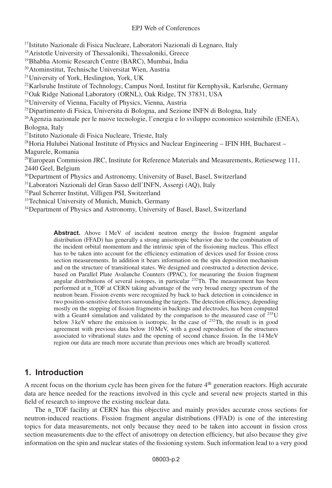<sup>17</sup>Istituto Nazionale di Fisica Nucleare, Laboratori Nazionali di Legnaro, Italy

<sup>18</sup>Aristotle University of Thessaloniki, Thessaloniki, Greece

19Bhabha Atomic Research Centre (BARC), Mumbai, India

20Atominstitut, Technische Universitat Wien, Austria

21University of York, Heslington, York, UK

 $^{22}$ Karlsruhe Institute of Technology, Campus Nord, Institut für Kernphysik, Karlsruhe, Germany

23Oak Ridge National Laboratory (ORNL), Oak Ridge, TN 37831, USA

24University of Vienna, Faculty of Physics, Vienna, Austria

25Dipartimento di Fisica, Universita di Bologna, and Sezione INFN di Bologna, Italy

 $^{26}$ Agenzia nazionale per le nuove tecnologie, l'energia e lo sviluppo economico sostenibile (ENEA), Bologna, Italy

27Istituto Nazionale di Fisica Nucleare, Trieste, Italy

<sup>28</sup> Horia Hulubei National Institute of Physics and Nuclear Engineering – IFIN HH, Bucharest – Magurele, Romania

 $29$ European Commission JRC, Institute for Reference Materials and Measurements, Retieseweg 111, 2440 Geel, Belgium

<sup>30</sup>Department of Physics and Astronomy, University of Basel, Basel, Switzerland

31Laboratori Nazionali del Gran Sasso dell'INFN, Assergi (AQ), Italy

32Paul Scherrer Institut, Villigen PSI, Switzerland

<sup>33</sup>Technical University of Munich, Munich, Germany

<sup>34</sup>Department of Physics and Astronomy, University of Basel, Basel, Switzerland

Abstract. Above 1 MeV of incident neutron energy the fission fragment angular distribution (FFAD) has generally a strong anisotropic behavior due to the combination of the incident orbital momentum and the intrinsic spin of the fissioning nucleus. This effect has to be taken into account for the efficiency estimation of devices used for fission cross section measurements. In addition it bears information on the spin deposition mechanism and on the structure of transitional states. We designed and constructed a detection device, based on Parallel Plate Avalanche Counters (PPAC), for measuring the fission fragment angular distributions of several isotopes, in particular  $232$ Th. The measurement has been performed at n\_TOF at CERN taking advantage of the very broad energy spectrum of the neutron beam. Fission events were recognized by back to back detection in coincidence in two position-sensitive detectors surrounding the targets. The detection efficiency, depending mostly on the stopping of fission fragments in backings and electrodes, has been computed with a Geant4 simulation and validated by the comparison to the measured case of  $^{235}$ U below 3 keV where the emission is isotropic. In the case of  $232$ Th, the result is in good agreement with previous data below 10 MeV, with a good reproduction of the structures associated to vibrational states and the opening of second chance fission. In the 14 MeV region our data are much more accurate than previous ones which are broadly scattered.

## **1. Introduction**

A recent focus on the thorium cycle has been given for the future 4th generation reactors. High accurate data are hence needed for the reactions involved in this cycle and several new projects started in this field of research to improve the existing nuclear data.

The n\_TOF facility at CERN has this objective and mainly provides accurate cross sections for neutron-induced reactions. Fission fragment angular distributions (FFAD) is one of the interesting topics for data measurements, not only because they need to be taken into account in fission cross section measurements due to the effect of anisotropy on detection efficiency, but also because they give information on the spin and nuclear states of the fissioning system. Such information lead to a very good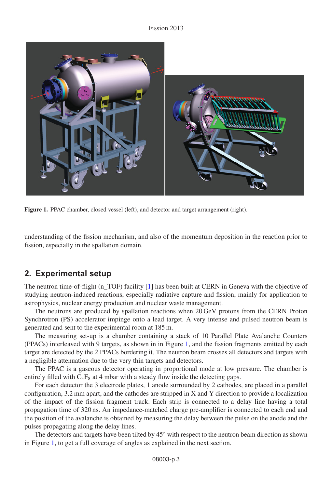#### Fission 2013

<span id="page-2-0"></span>

**Figure 1.** PPAC chamber, closed vessel (left), and detector and target arrangement (right).

understanding of the fission mechanism, and also of the momentum deposition in the reaction prior to fission, especially in the spallation domain.

### **2. Experimental setup**

The neutron time-of-flight (n\_TOF) facility [\[1](#page-6-0)] has been built at CERN in Geneva with the objective of studying neutron-induced reactions, especially radiative capture and fission, mainly for application to astrophysics, nuclear energy production and nuclear waste management.

The neutrons are produced by spallation reactions when 20 GeV protons from the CERN Proton Synchrotron (PS) accelerator impinge onto a lead target. A very intense and pulsed neutron beam is generated and sent to the experimental room at 185 m.

The measuring set-up is a chamber containing a stack of 10 Parallel Plate Avalanche Counters (PPACs) interleaved with 9 targets, as shown in in Figure [1,](#page-2-0) and the fission fragments emitted by each target are detected by the 2 PPACs bordering it. The neutron beam crosses all detectors and targets with a negligible attenuation due to the very thin targets and detectors.

The PPAC is a gaseous detector operating in proportional mode at low pressure. The chamber is entirely filled with  $C_3F_8$  at 4 mbar with a steady flow inside the detecting gaps.

For each detector the 3 electrode plates, 1 anode surrounded by 2 cathodes, are placed in a parallel configuration, 3.2 mm apart, and the cathodes are stripped in X and Y direction to provide a localization of the impact of the fission fragment track. Each strip is connected to a delay line having a total propagation time of 320 ns. An impedance-matched charge pre-amplifier is connected to each end and the position of the avalanche is obtained by measuring the delay between the pulse on the anode and the pulses propagating along the delay lines.

The detectors and targets have been tilted by 45◦ with respect to the neutron beam direction as shown in Figure [1,](#page-2-0) to get a full coverage of angles as explained in the next section.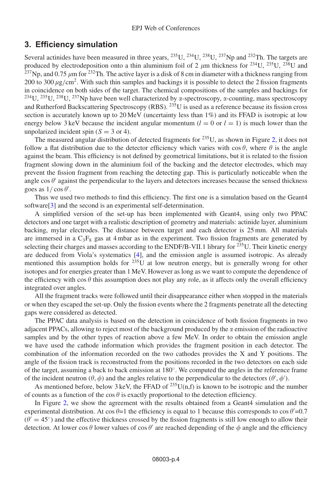### **3. Efficiency simulation**

Several actinides have been measured in three years,  $^{235}$ U,  $^{234}$ U,  $^{238}$ U,  $^{237}$ Np and  $^{232}$ Th. The targets are produced by electrodeposition onto a thin aluminium foil of 2  $\mu$ m thickness for <sup>234</sup>U, <sup>235</sup>U, <sup>238</sup>U and <sup>237</sup>Np, and 0.75  $\mu$ m for <sup>232</sup>Th. The active layer is a disk of 8 cm in diameter with a thickness ranging from 200 to 300  $\mu$ g/cm<sup>2</sup>. With such thin samples and backings it is possible to detect the 2 fission fragments in coincidence on both sides of the target. The chemical compositions of the samples and backings for <sup>234</sup>U, <sup>235</sup>U, <sup>238</sup>U, <sup>237</sup>Np have been well characterized by  $\alpha$ -spectroscopy,  $\alpha$ -counting, mass spectroscopy and Rutherford Backscattering Spectroscopy (RBS). 235U is used as a reference because its fission cross section is accurately known up to 20 MeV (uncertainty less than  $1\%$ ) and its FFAD is isotropic at low energy below 3 keV because the incident angular momentum  $(l = 0 \text{ or } l = 1)$  is much lower than the unpolarized incident spin  $(S = 3 \text{ or } 4)$ .

The measured angular distribution of detected fragments for  $^{235}$ U, as shown in Figure [2,](#page-4-0) it does not follow a flat distribution due to the detector efficiency which varies with  $\cos \theta$ , where  $\theta$  is the angle against the beam. This efficiency is not defined by geometrical limitations, but it is related to the fission fragment slowing down in the aluminium foil of the backing and the detector electrodes, which may prevent the fission fragment from reaching the detecting gap. This is particularly noticeable when the angle cos  $\theta'$  against the perpendicular to the layers and detectors increases because the sensed thickness goes as  $1/\cos\theta'$ .

Thus we used two methods to find this efficiency. The first one is a simulation based on the Geant4 software[\[3](#page-6-1)] and the second is an experimental self-determination.

A simplified version of the set-up has been implemented with Geant4, using only two PPAC detectors and one target with a realistic description of geometry and materials: actinide layer, aluminium backing, mylar electrodes. The distance between target and each detector is 25 mm. All materials are immersed in a  $C_3F_8$  gas at 4 mbar as in the experiment. Two fission fragments are generated by selecting their charges and masses according to the ENDF/B-VII.1 library for <sup>235</sup>U. Their kinetic energy are deduced from Viola's systematics [\[4\]](#page-6-2), and the emission angle is assumed isotropic. As already mentioned this assumption holds for  $235U$  at low neutron energy, but is generally wrong for other isotopes and for energies greater than 1 MeV. However as long as we want to compute the dependence of the efficiency with cos  $\theta$  this assumption does not play any role, as it affects only the overall efficiency integrated over angles.

All the fragment tracks were followed until their disappearance either when stopped in the materials or when they escaped the set-up. Only the fission events where the 2 fragments penetrate all the detecting gaps were considered as detected.

The PPAC data analysis is based on the detection in coincidence of both fission fragments in two adjacent PPACs, allowing to reject most of the background produced by the  $\alpha$  emission of the radioactive samples and by the other types of reaction above a few MeV. In order to obtain the emission angle we have used the cathode information which provides the fragment position in each detector. The combination of the information recorded on the two cathodes provides the X and Y positions. The angle of the fission track is reconstructed from the positions recorded in the two detectors on each side of the target, assuming a back to back emission at 180◦. We computed the angles in the reference frame of the incident neutron  $(\theta, \phi)$  and the angles relative to the perpendicular to the detectors  $(\theta', \phi')$ .

As mentioned before, below 3 keV, the FFAD of  $^{235}U(n,f)$  is known to be isotropic and the number of counts as a function of the cos  $\theta$  is exactly proportional to the detection efficiency.

In Figure [2,](#page-4-0) we show the agreement with the results obtained from a Geant4 simulation and the experimental distribution. At  $\cos \theta = 1$  the efficiency is equal to 1 because this corresponds to  $\cos \theta = 0.7$  $(\theta' = 45^\circ)$  and the effective thickness crossed by the fission fragments is still low enough to allow their detection. At lower cos  $\theta$  lower values of cos  $\theta'$  are reached depending of the  $\phi$  angle and the efficiency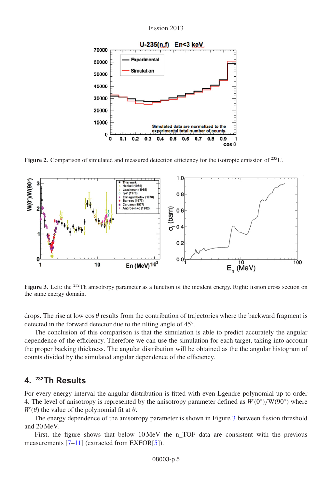Fission 2013

<span id="page-4-0"></span>

**Figure 2.** Comparison of simulated and measured detection efficiency for the isotropic emission of <sup>235</sup>U.

<span id="page-4-1"></span>

Figure 3. Left: the <sup>232</sup>Th anisotropy parameter as a function of the incident energy. Right: fission cross section on the same energy domain.

drops. The rise at low  $\cos \theta$  results from the contribution of trajectories where the backward fragment is detected in the forward detector due to the tilting angle of 45◦.

The conclusion of this comparison is that the simulation is able to predict accurately the angular dependence of the efficiency. Therefore we can use the simulation for each target, taking into account the proper backing thickness. The angular distribution will be obtained as the the angular histogram of counts divided by the simulated angular dependence of the efficiency.

### **4. 232Th Results**

For every energy interval the angular distribution is fitted with even Lgendre polynomial up to order 4. The level of anisotropy is represented by the anisotropy parameter defined as  $W(0°)/W(90°)$  where  $W(\theta)$  the value of the polynomial fit at  $\theta$ .

The energy dependence of the anisotropy parameter is shown in Figure [3](#page-4-1) between fission threshold and 20 MeV.

First, the figure shows that below 10 MeV the n\_TOF data are consistent with the previous measurements [\[7](#page-6-3)[–11](#page-6-4)] (extracted from EXFOR[\[5](#page-6-5)]).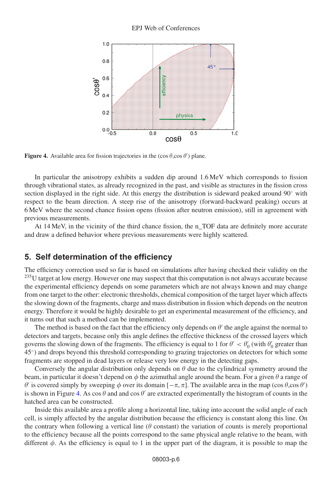<span id="page-5-0"></span>

**Figure 4.** Available area for fission trajectories in the  $(\cos \theta, \cos \theta')$  plane.

In particular the anisotropy exhibits a sudden dip around 1.6 MeV which corresponds to fission through vibrational states, as already recognized in the past, and visible as structures in the fission cross section displayed in the right side. At this energy the distribution is sideward peaked around 90° with respect to the beam direction. A steep rise of the anisotropy (forward-backward peaking) occurs at 6 MeV where the second chance fission opens (fission after neutron emission), still in agreement with previous measurements.

At 14 MeV, in the vicinity of the third chance fission, the n\_TOF data are definitely more accurate and draw a defined behavior where previous measurements were highly scattered.

### **5. Self determination of the efficiency**

The efficiency correction used so far is based on simulations after having checked their validity on the <sup>235</sup>U target at low energy. However one may suspect that this computation is not always accurate because the experimental efficiency depends on some parameters which are not always known and may change from one target to the other: electronic thresholds, chemical composition of the target layer which affects the slowing down of the fragments, charge and mass distribution in fission which depends on the neutron energy. Therefore it would be highly desirable to get an experimental measurement of the efficiency, and it turns out that such a method can be implemented.

The method is based on the fact that the efficiency only depends on  $\theta'$  the angle against the normal to detectors and targets, because only this angle defines the effective thickness of the crossed layers which governs the slowing down of the fragments. The efficiency is equal to 1 for  $\theta' < \theta'_0$  (with  $\theta'_0$  greater than 45◦) and drops beyond this threshold corresponding to grazing trajectories on detectors for which some fragments are stopped in dead layers or release very low energy in the detecting gaps.

Conversely the angular distribution only depends on  $\theta$  due to the cylindrical symmetry around the beam, in particular it doesn't depend on  $\phi$  the azimuthal angle around the beam. For a given  $\theta$  a range of  $\theta'$  is covered simply by sweeping  $\phi$  over its domain  $[-\pi, \pi]$ . The available area in the map (cos  $\theta$ ,cos  $\theta'$ ) is shown in Figure [4.](#page-5-0) As  $\cos \theta$  and and  $\cos \theta'$  are extracted experimentally the histogram of counts in the hatched area can be constructed.

Inside this available area a profile along a horizontal line, taking into account the solid angle of each cell, is simply affected by the angular distribution because the efficiency is constant along this line. On the contrary when following a vertical line ( $\theta$  constant) the variation of counts is merely proportional to the efficiency because all the points correspond to the same physical angle relative to the beam, with different  $\phi$ . As the efficiency is equal to 1 in the upper part of the diagram, it is possible to map the